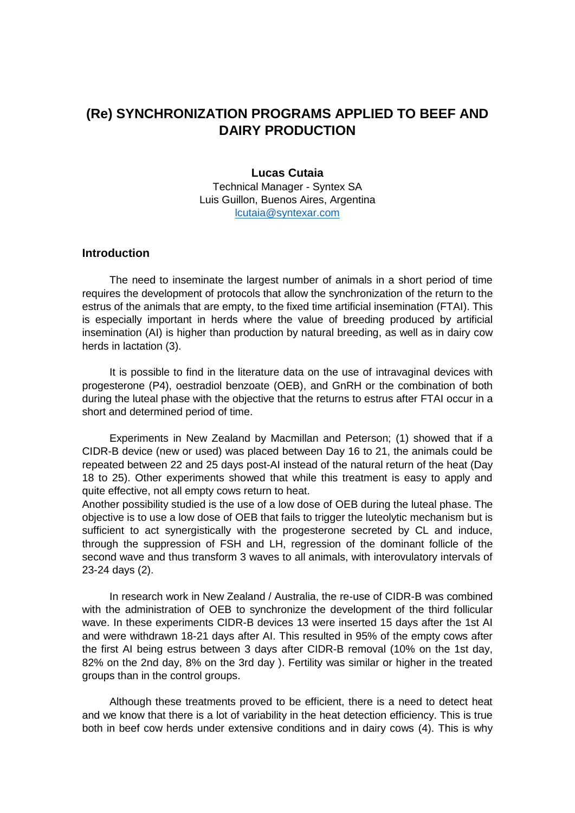# **(Re) SYNCHRONIZATION PROGRAMS APPLIED TO BEEF AND DAIRY PRODUCTION**

#### **Lucas Cutaia**

Technical Manager - Syntex SA Luis Guillon, Buenos Aires, Argentina [lcutaia@syntexar.com](mailto:lcutaia@syntexar.com)

## **Introduction**

The need to inseminate the largest number of animals in a short period of time requires the development of protocols that allow the synchronization of the return to the estrus of the animals that are empty, to the fixed time artificial insemination (FTAI). This is especially important in herds where the value of breeding produced by artificial insemination (AI) is higher than production by natural breeding, as well as in dairy cow herds in lactation (3).

It is possible to find in the literature data on the use of intravaginal devices with progesterone (P4), oestradiol benzoate (OEB), and GnRH or the combination of both during the luteal phase with the objective that the returns to estrus after FTAI occur in a short and determined period of time.

Experiments in New Zealand by Macmillan and Peterson; (1) showed that if a CIDR-B device (new or used) was placed between Day 16 to 21, the animals could be repeated between 22 and 25 days post-AI instead of the natural return of the heat (Day 18 to 25). Other experiments showed that while this treatment is easy to apply and quite effective, not all empty cows return to heat.

Another possibility studied is the use of a low dose of OEB during the luteal phase. The objective is to use a low dose of OEB that fails to trigger the luteolytic mechanism but is sufficient to act synergistically with the progesterone secreted by CL and induce, through the suppression of FSH and LH, regression of the dominant follicle of the second wave and thus transform 3 waves to all animals, with interovulatory intervals of 23-24 days (2).

In research work in New Zealand / Australia, the re-use of CIDR-B was combined with the administration of OEB to synchronize the development of the third follicular wave. In these experiments CIDR-B devices 13 were inserted 15 days after the 1st AI and were withdrawn 18-21 days after AI. This resulted in 95% of the empty cows after the first AI being estrus between 3 days after CIDR-B removal (10% on the 1st day, 82% on the 2nd day, 8% on the 3rd day ). Fertility was similar or higher in the treated groups than in the control groups.

Although these treatments proved to be efficient, there is a need to detect heat and we know that there is a lot of variability in the heat detection efficiency. This is true both in beef cow herds under extensive conditions and in dairy cows (4). This is why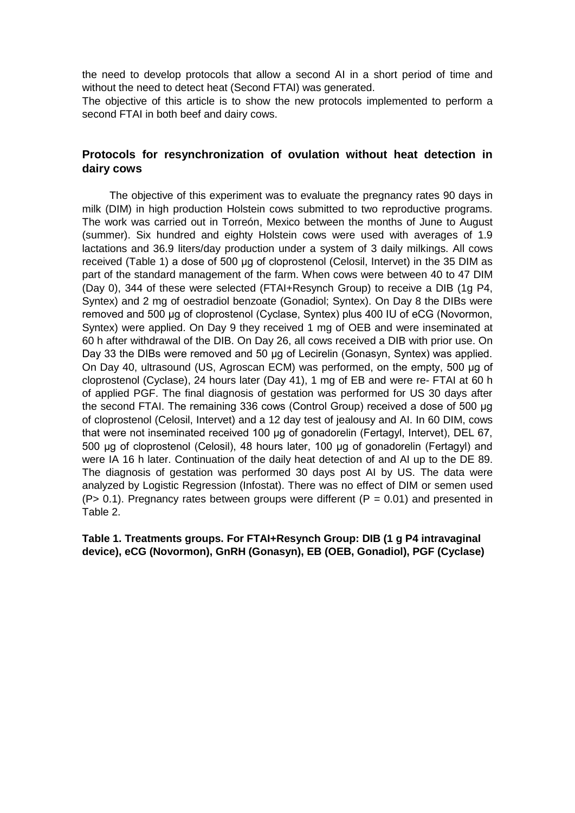the need to develop protocols that allow a second AI in a short period of time and without the need to detect heat (Second FTAI) was generated.

The objective of this article is to show the new protocols implemented to perform a second FTAI in both beef and dairy cows.

# **Protocols for resynchronization of ovulation without heat detection in dairy cows**

The objective of this experiment was to evaluate the pregnancy rates 90 days in milk (DIM) in high production Holstein cows submitted to two reproductive programs. The work was carried out in Torreón, Mexico between the months of June to August (summer). Six hundred and eighty Holstein cows were used with averages of 1.9 lactations and 36.9 liters/day production under a system of 3 daily milkings. All cows received (Table 1) a dose of 500 μg of cloprostenol (Celosil, Intervet) in the 35 DIM as part of the standard management of the farm. When cows were between 40 to 47 DIM (Day 0), 344 of these were selected (FTAI+Resynch Group) to receive a DIB (1g P4, Syntex) and 2 mg of oestradiol benzoate (Gonadiol; Syntex). On Day 8 the DIBs were removed and 500 μg of cloprostenol (Cyclase, Syntex) plus 400 IU of eCG (Novormon, Syntex) were applied. On Day 9 they received 1 mg of OEB and were inseminated at 60 h after withdrawal of the DIB. On Day 26, all cows received a DIB with prior use. On Day 33 the DIBs were removed and 50 μg of Lecirelin (Gonasyn, Syntex) was applied. On Day 40, ultrasound (US, Agroscan ECM) was performed, on the empty, 500 μg of cloprostenol (Cyclase), 24 hours later (Day 41), 1 mg of EB and were re- FTAI at 60 h of applied PGF. The final diagnosis of gestation was performed for US 30 days after the second FTAI. The remaining 336 cows (Control Group) received a dose of 500 μg of cloprostenol (Celosil, Intervet) and a 12 day test of jealousy and AI. In 60 DIM, cows that were not inseminated received 100 μg of gonadorelin (Fertagyl, Intervet), DEL 67, 500 μg of cloprostenol (Celosil), 48 hours later, 100 μg of gonadorelin (Fertagyl) and were IA 16 h later. Continuation of the daily heat detection of and AI up to the DE 89. The diagnosis of gestation was performed 30 days post AI by US. The data were analyzed by Logistic Regression (Infostat). There was no effect of DIM or semen used  $(P> 0.1)$ . Pregnancy rates between groups were different  $(P = 0.01)$  and presented in Table 2.

**Table 1. Treatments groups. For FTAI+Resynch Group: DIB (1 g P4 intravaginal device), eCG (Novormon), GnRH (Gonasyn), EB (OEB, Gonadiol), PGF (Cyclase)**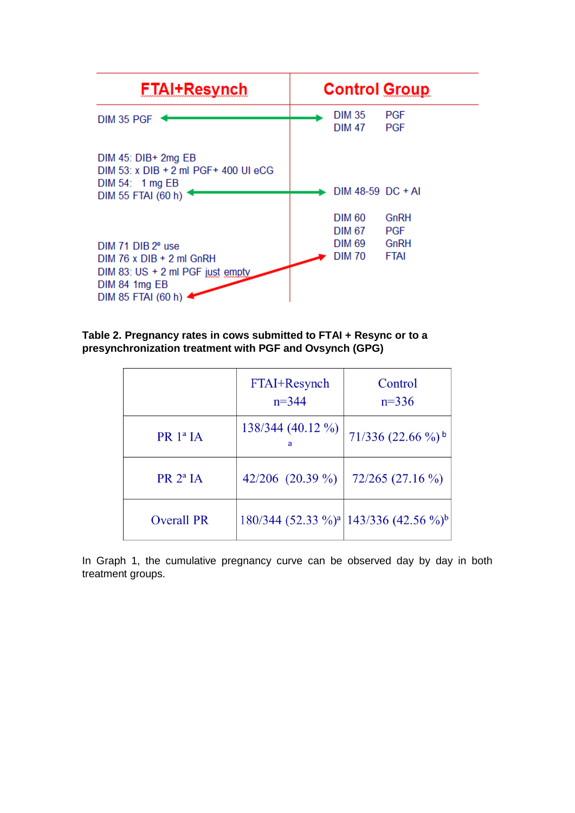

# **Table 2. Pregnancy rates in cows submitted to FTAI + Resync or to a presynchronization treatment with PGF and Ovsynch (GPG)**

|                      | FTAI+Resynch<br>Control<br>$n = 344$<br>$n=336$ |                                                               |  |
|----------------------|-------------------------------------------------|---------------------------------------------------------------|--|
| PR 1ª IA             | 138/344 (40.12 %)                               | $71/336$ (22.66 %) <sup>b</sup>                               |  |
| PR 2 <sup>a</sup> IA | 42/206 $(20.39\%)$                              | $72/265$ (27.16 %)                                            |  |
| <b>Overall PR</b>    |                                                 | 180/344 (52.33 %) <sup>a</sup> 143/336 (42.56 %) <sup>b</sup> |  |

In Graph 1, the cumulative pregnancy curve can be observed day by day in both treatment groups.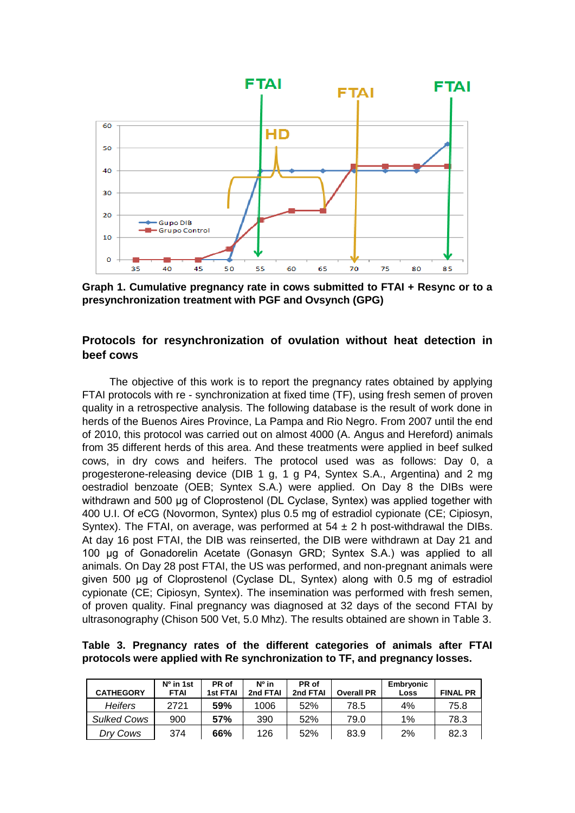

**Graph 1. Cumulative pregnancy rate in cows submitted to FTAI + Resync or to a presynchronization treatment with PGF and Ovsynch (GPG)**

# **Protocols for resynchronization of ovulation without heat detection in beef cows**

The objective of this work is to report the pregnancy rates obtained by applying FTAI protocols with re - synchronization at fixed time (TF), using fresh semen of proven quality in a retrospective analysis. The following database is the result of work done in herds of the Buenos Aires Province, La Pampa and Rio Negro. From 2007 until the end of 2010, this protocol was carried out on almost 4000 (A. Angus and Hereford) animals from 35 different herds of this area. And these treatments were applied in beef sulked cows, in dry cows and heifers. The protocol used was as follows: Day 0, a progesterone-releasing device (DIB 1 g, 1 g P4, Syntex S.A., Argentina) and 2 mg oestradiol benzoate (OEB; Syntex S.A.) were applied. On Day 8 the DIBs were withdrawn and 500 μg of Cloprostenol (DL Cyclase, Syntex) was applied together with 400 U.I. Of eCG (Novormon, Syntex) plus 0.5 mg of estradiol cypionate (CE; Cipiosyn, Syntex). The FTAI, on average, was performed at  $54 \pm 2$  h post-withdrawal the DIBs. At day 16 post FTAI, the DIB was reinserted, the DIB were withdrawn at Day 21 and 100 μg of Gonadorelin Acetate (Gonasyn GRD; Syntex S.A.) was applied to all animals. On Day 28 post FTAI, the US was performed, and non-pregnant animals were given 500 μg of Cloprostenol (Cyclase DL, Syntex) along with 0.5 mg of estradiol cypionate (CE; Cipiosyn, Syntex). The insemination was performed with fresh semen, of proven quality. Final pregnancy was diagnosed at 32 days of the second FTAI by ultrasonography (Chison 500 Vet, 5.0 Mhz). The results obtained are shown in Table 3.

**Table 3. Pregnancy rates of the different categories of animals after FTAI protocols were applied with Re synchronization to TF, and pregnancy losses.**

| <b>CATHEGORY</b>   | $No$ in 1st<br><b>FTAI</b> | PR of<br>1st FTAI | Nº in<br>2nd FTAI | PR of<br>2nd FTAI | <b>Overall PR</b> | Embryonic<br>Loss | <b>FINAL PR</b> |
|--------------------|----------------------------|-------------------|-------------------|-------------------|-------------------|-------------------|-----------------|
| <b>Heifers</b>     | 2721                       | 59%               | 1006              | 52%               | 78.5              | 4%                | 75.8            |
| <b>Sulked Cows</b> | 900                        | 57%               | 390               | 52%               | 79.0              | 1%                | 78.3            |
| Drv Cows           | 374                        | 66%               | 126               | 52%               | 83.9              | 2%                | 82.3            |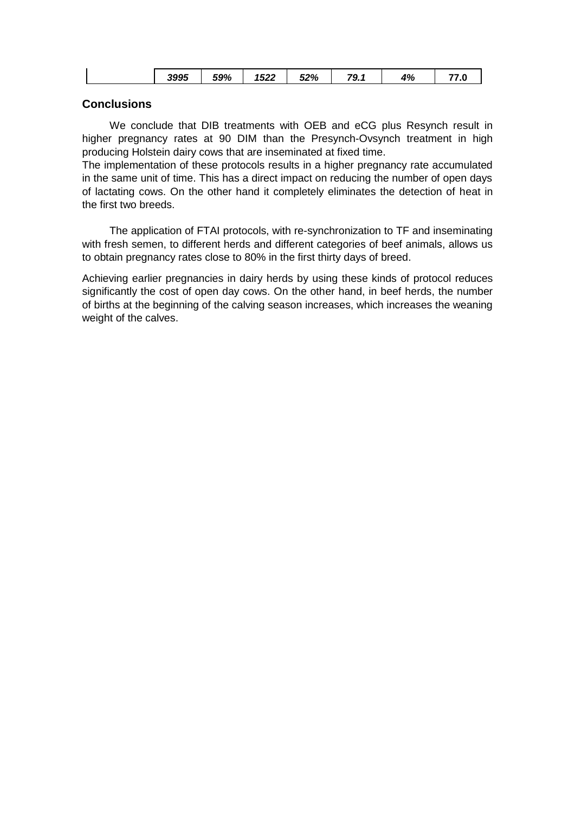| 3995<br>59%<br>1522<br>52%<br>4%<br>79.1<br>. <i>.</i> . v |
|------------------------------------------------------------|
|------------------------------------------------------------|

## **Conclusions**

We conclude that DIB treatments with OEB and eCG plus Resynch result in higher pregnancy rates at 90 DIM than the Presynch-Ovsynch treatment in high producing Holstein dairy cows that are inseminated at fixed time.

The implementation of these protocols results in a higher pregnancy rate accumulated in the same unit of time. This has a direct impact on reducing the number of open days of lactating cows. On the other hand it completely eliminates the detection of heat in the first two breeds.

The application of FTAI protocols, with re-synchronization to TF and inseminating with fresh semen, to different herds and different categories of beef animals, allows us to obtain pregnancy rates close to 80% in the first thirty days of breed.

Achieving earlier pregnancies in dairy herds by using these kinds of protocol reduces significantly the cost of open day cows. On the other hand, in beef herds, the number of births at the beginning of the calving season increases, which increases the weaning weight of the calves.